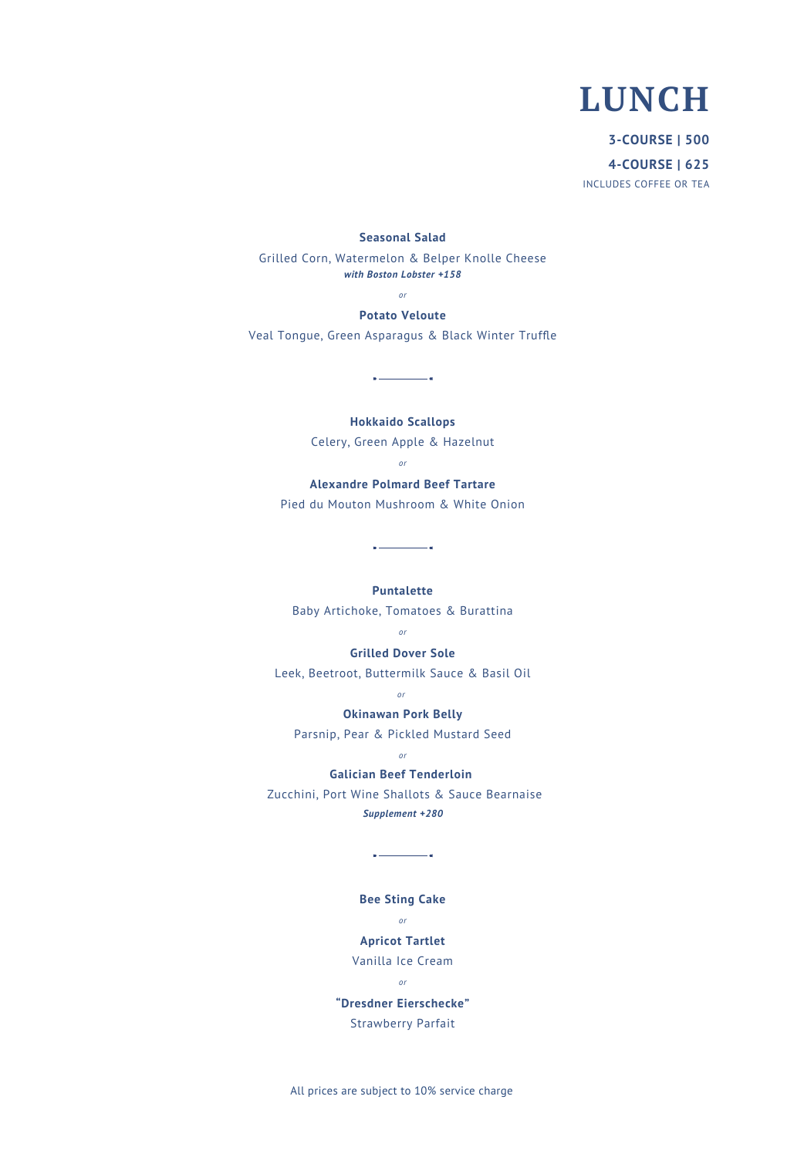# **LUNCH**

**3-COURSE | 500 4-COURSE | 625** INCLUDES COFFEE OR TEA

#### **Seasonal Salad**

Grilled Corn, Watermelon & Belper Knolle Cheese *with Boston Lobster +158*

*or*

## **Potato Veloute**

Veal Tongue, Green Asparagus & Black Winter Truffle

 $\overline{\phantom{a}}$ 

**Hokkaido Scallops**

Celery, Green Apple & Hazelnut

### *or*

**Alexandre Polmard Beef Tartare** Pied du Mouton Mushroom & White Onion

 $\frac{1}{2}$ 

## **Puntalette**

Baby Artichoke, Tomatoes & Burattina

#### *or*

#### **Grilled Dover Sole**

Leek, Beetroot, Buttermilk Sauce & Basil Oil

## *or* **Okinawan Pork Belly**

Parsnip, Pear & Pickled Mustard Seed

*or*

#### **Galician Beef Tenderloin**

 Zucchini, Port Wine Shallots & Sauce Bearnaise *Supplement +280*

# **Bee Sting Cake**

 $\sim$   $\sim$   $\sim$   $\sim$   $\sim$   $\sim$   $\sim$ 

#### *or*

## **Apricot Tartlet**

Vanilla Ice Cream

*or*

# **"Dresdner Eierschecke"**

Strawberry Parfait